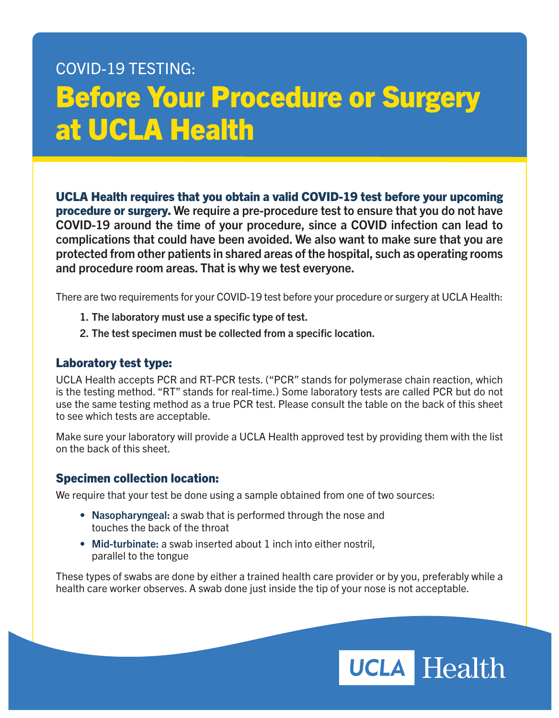## COVID-19 TESTING: Before Your Procedure or Surgery at UCLA Health

UCLA Health requires that you obtain a valid COVID-19 test before your upcoming procedure or surgery. We require a pre-procedure test to ensure that you do not have COVID-19 around the time of your procedure, since a COVID infection can lead to complications that could have been avoided. We also want to make sure that you are protected from other patients in shared areas of the hospital, such as operating rooms and procedure room areas. That is why we test everyone.

There are two requirements for your COVID-19 test before your procedure or surgery at UCLA Health:

- 1. The laboratory must use a specific type of test.
- 2. The test specimen must be collected from a specific location.

## Laboratory test type:

UCLA Health accepts PCR and RT-PCR tests. ("PCR" stands for polymerase chain reaction, which is the testing method. "RT" stands for real-time.) Some laboratory tests are called PCR but do not use the same testing method as a true PCR test. Please consult the table on the back of this sheet to see which tests are acceptable.

Make sure your laboratory will provide a UCLA Health approved test by providing them with the list on the back of this sheet.

## Specimen collection location:

We require that your test be done using a sample obtained from one of two sources:

- Nasopharyngeal: a swab that is performed through the nose and touches the back of the throat
- Mid-turbinate: a swab inserted about 1 inch into either nostril, parallel to the tongue

These types of swabs are done by either a trained health care provider or by you, preferably while a health care worker observes. A swab done just inside the tip of your nose is not acceptable.